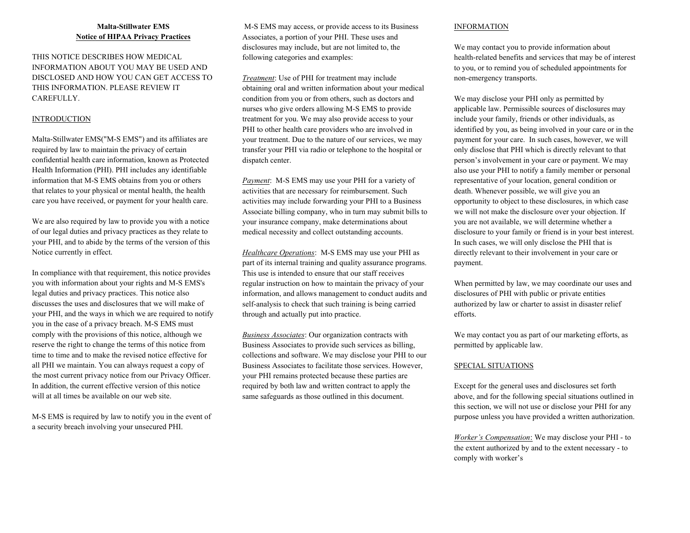# **Malta-Stillwater EMS Notice of HIPAA Privacy Practices**

THIS NOTICE DESCRIBES HOW MEDICAL INFORMATION ABOUT YOU MAY BE USED AND DISCLOSED AND HOW YOU CAN GET ACCESS TO THIS INFORMATION. PLEASE REVIEW IT CAREFULLY.

# **INTRODUCTION**

Malta-Stillwater EMS("M-S EMS") and its affiliates are required by law to maintain the privacy of certain confidential health care information, known as Protected Health Information (PHI). PHI includes any identifiable information that M-S EMS obtains from you or others that relates to your physical or mental health, the health care you have received, or payment for your health care.

We are also required by law to provide you with a notice of our legal duties and privacy practices as they relate to your PHI, and to abide by the terms of the version of this Notice currently in effect.

In compliance with that requirement, this notice provides you with information about your rights and M-S EMS's legal duties and privacy practices. This notice also discusses the uses and disclosures that we will make of your PHI, and the ways in which we are required to notify you in the case of a privacy breach. M-S EMS must comply with the provisions of this notice, although we reserve the right to change the terms of this notice from time to time and to make the revised notice effective for all PHI we maintain. You can always request a copy of the most current privacy notice from our Privacy Officer. In addition, the current effective version of this notice will at all times be available on our web site.

M-S EMS is required by law to notify you in the event of a security breach involving your unsecured PHI.

 M-S EMS may access, or provide access to its Business Associates, a portion of your PHI. These uses and disclosures may include, but are not limited to, the following categories and examples:

*Treatment*: Use of PHI for treatment may include obtaining oral and written information about your medical condition from you or from others, such as doctors and nurses who give orders allowing M-S EMS to provide treatment for you. We may also provide access to your PHI to other health care providers who are involved in your treatment. Due to the nature of our services, we may transfer your PHI via radio or telephone to the hospital or dispatch center.

*Payment*: M-S EMS may use your PHI for a variety of activities that are necessary for reimbursement. Such activities may include forwarding your PHI to a Business Associate billing company, who in turn may submit bills to your insurance company, make determinations about medical necessity and collect outstanding accounts.

*Healthcare Operations*: M-S EMS may use your PHI as part of its internal training and quality assurance programs. This use is intended to ensure that our staff receives regular instruction on how to maintain the privacy of your information, and allows management to conduct audits and self-analysis to check that such training is being carried through and actually put into practice.

*Business Associates*: Our organization contracts with Business Associates to provide such services as billing, collections and software. We may disclose your PHI to our Business Associates to facilitate those services. However, your PHI remains protected because these parties are required by both law and written contract to apply the same safeguards as those outlined in this document.

#### INFORMATION

We may contact you to provide information about health-related benefits and services that may be of interest to you, or to remind you of scheduled appointments for non-emergency transports.

We may disclose your PHI only as permitted by applicable law. Permissible sources of disclosures may include your family, friends or other individuals, as identified by you, as being involved in your care or in the payment for your care. In such cases, however, we will only disclose that PHI which is directly relevant to that person's involvement in your care or payment. We may also use your PHI to notify a family member or personal representative of your location, general condition or death. Whenever possible, we will give you an opportunity to object to these disclosures, in which case we will not make the disclosure over your objection. If you are not available, we will determine whether a disclosure to your family or friend is in your best interest. In such cases, we will only disclose the PHI that is directly relevant to their involvement in your care or payment.

When permitted by law, we may coordinate our uses and disclosures of PHI with public or private entities authorized by law or charter to assist in disaster relief efforts.

We may contact you as part of our marketing efforts, as permitted by applicable law.

## SPECIAL SITUATIONS

Except for the general uses and disclosures set forth above, and for the following special situations outlined in this section, we will not use or disclose your PHI for any purpose unless you have provided a written authorization.

*Worker's Compensation*: We may disclose your PHI - to the extent authorized by and to the extent necessary - to comply with worker's